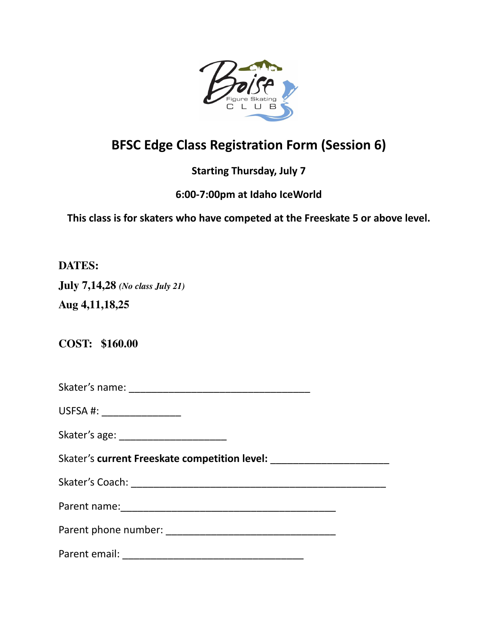

## **BFSC Edge Class Registration Form (Session 6)**

## **Starting Thursday, July 7**

## **6:00-7:00pm at Idaho IceWorld**

**This class is for skaters who have competed at the Freeskate 5 or above level.**

**DATES:**

**July 7,14,28** *(No class July 21)*

**Aug 4,11,18,25**

**COST: \$160.00**

Skater's name: \_\_\_\_\_\_\_\_\_\_\_\_\_\_\_\_\_\_\_\_\_\_\_\_\_\_\_\_\_\_\_\_

USFSA #: \_\_\_\_\_\_\_\_\_\_\_\_\_\_\_\_\_\_\_

| Skater's age: |  |
|---------------|--|
|---------------|--|

Skater's **current Freeskate competition level:** \_\_\_\_\_\_\_\_\_\_\_\_\_\_\_\_\_\_\_\_\_

Skater's Coach: \_\_\_\_\_\_\_\_\_\_\_\_\_\_\_\_\_\_\_\_\_\_\_\_\_\_\_\_\_\_\_\_\_\_\_\_\_\_\_\_\_\_\_\_\_

Parent name:\_\_\_\_\_\_\_\_\_\_\_\_\_\_\_\_\_\_\_\_\_\_\_\_\_\_\_\_\_\_\_\_\_\_\_\_\_\_

Parent phone number: \_\_\_\_\_\_\_\_\_\_\_\_\_\_\_\_\_\_\_\_\_\_\_\_\_\_\_\_\_\_

Parent email: **Example 2018**